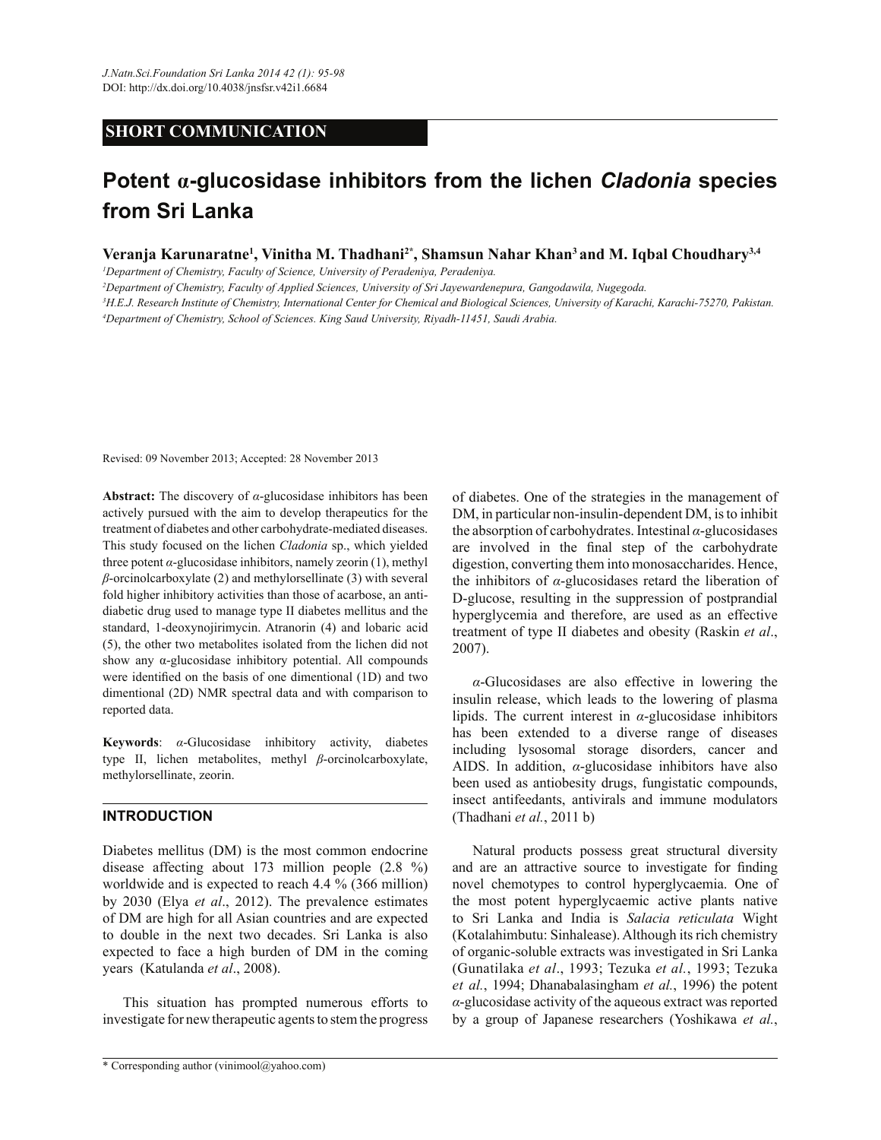# **SHORT COMMUNICATION**

# **Potent α-glucosidase inhibitors from the lichen** *Cladonia* **species from Sri Lanka**

**Veranja Karunaratne<sup>1</sup> , Vinitha M. Thadhani2\*, Shamsun Nahar Khan<sup>3</sup>and M. Iqbal Choudhary3,4**

*<sup>1</sup>Department of Chemistry, Faculty of Science, University of Peradeniya, Peradeniya.*

*<sup>2</sup>Department of Chemistry, Faculty of Applied Sciences, University of Sri Jayewardenepura, Gangodawila, Nugegoda.*

*<sup>3</sup>H.E.J. Research Institute of Chemistry, International Center for Chemical and Biological Sciences, University of Karachi, Karachi-75270, Pakistan. <sup>4</sup>Department of Chemistry, School of Sciences. King Saud University, Riyadh-11451, Saudi Arabia.*

Revised: 09 November 2013; Accepted: 28 November 2013

**Abstract:** The discovery of *α*-glucosidase inhibitors has been actively pursued with the aim to develop therapeutics for the treatment of diabetes and other carbohydrate-mediated diseases. This study focused on the lichen *Cladonia* sp., which yielded three potent *α*-glucosidase inhibitors, namely zeorin (1), methyl *β*-orcinolcarboxylate (2) and methylorsellinate (3) with several fold higher inhibitory activities than those of acarbose, an antidiabetic drug used to manage type II diabetes mellitus and the standard, 1-deoxynojirimycin. Atranorin (4) and lobaric acid (5), the other two metabolites isolated from the lichen did not show any α-glucosidase inhibitory potential. All compounds were identified on the basis of one dimentional (1D) and two dimentional (2D) NMR spectral data and with comparison to reported data.

**Keywords**: *α*-Glucosidase inhibitory activity, diabetes type II, lichen metabolites, methyl *β*-orcinolcarboxylate, methylorsellinate, zeorin.

# **INTRODUCTION**

Diabetes mellitus (DM) is the most common endocrine disease affecting about 173 million people (2.8 %) worldwide and is expected to reach 4.4 % (366 million) by 2030 (Elya *et al*., 2012). The prevalence estimates of DM are high for all Asian countries and are expected to double in the next two decades. Sri Lanka is also expected to face a high burden of DM in the coming years (Katulanda *et al*., 2008).

 This situation has prompted numerous efforts to investigate for new therapeutic agents to stem the progress

\* Corresponding author (vinimool@yahoo.com)

of diabetes. One of the strategies in the management of DM, in particular non-insulin-dependent DM, is to inhibit the absorption of carbohydrates. Intestinal *α*-glucosidases are involved in the final step of the carbohydrate digestion, converting them into monosaccharides. Hence, the inhibitors of *α*-glucosidases retard the liberation of D-glucose, resulting in the suppression of postprandial hyperglycemia and therefore, are used as an effective treatment of type II diabetes and obesity (Raskin *et al*., 2007).

 *α*-Glucosidases are also effective in lowering the insulin release, which leads to the lowering of plasma lipids. The current interest in *α*-glucosidase inhibitors has been extended to a diverse range of diseases including lysosomal storage disorders, cancer and AIDS. In addition, *α*-glucosidase inhibitors have also been used as antiobesity drugs, fungistatic compounds, insect antifeedants, antivirals and immune modulators (Thadhani *et al.*, 2011 b)

 Natural products possess great structural diversity and are an attractive source to investigate for finding novel chemotypes to control hyperglycaemia. One of the most potent hyperglycaemic active plants native to Sri Lanka and India is *Salacia reticulata* Wight (Kotalahimbutu: Sinhalease). Although its rich chemistry of organic-soluble extracts was investigated in Sri Lanka (Gunatilaka *et al*., 1993; Tezuka *et al.*, 1993; Tezuka *et al.*, 1994; Dhanabalasingham *et al.*, 1996) the potent *α*-glucosidase activity of the aqueous extract was reported by a group of Japanese researchers (Yoshikawa *et al.*,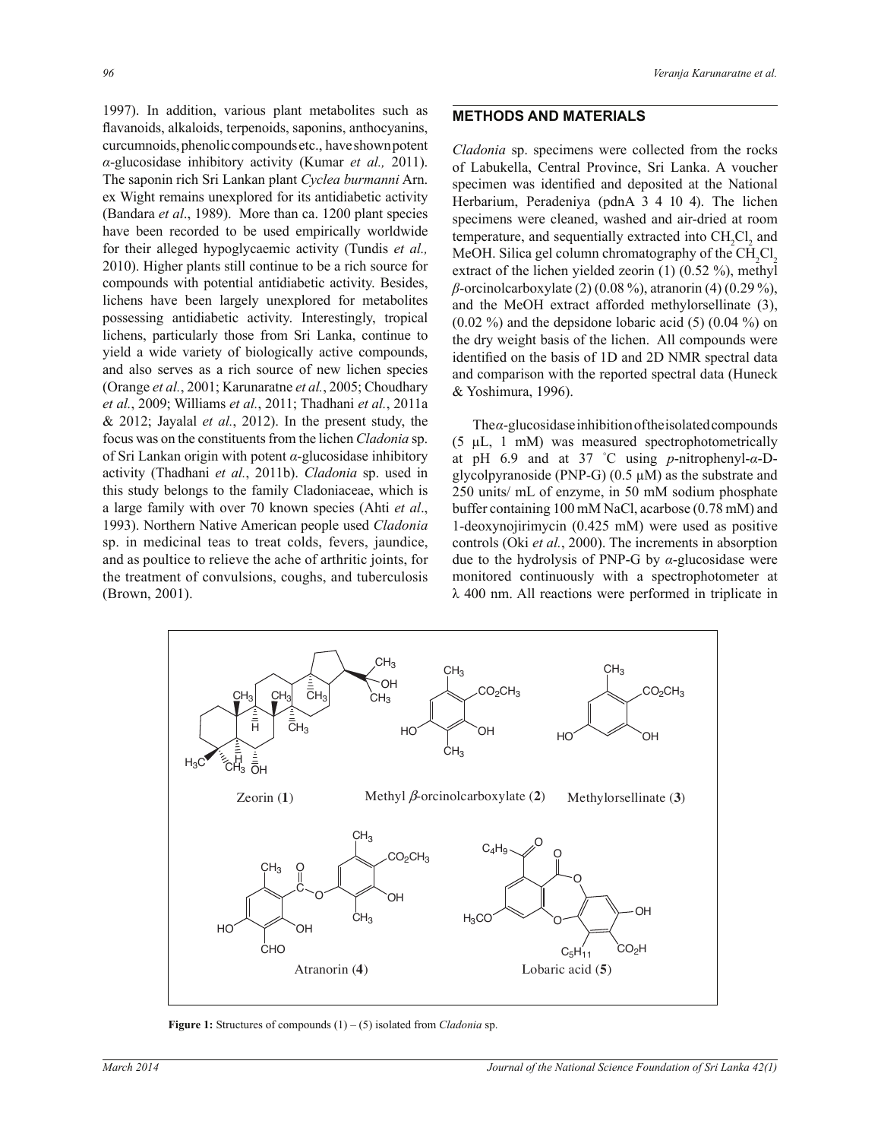1997). In addition, various plant metabolites such as flavanoids, alkaloids, terpenoids, saponins, anthocyanins, curcumnoids, phenolic compounds etc., have shown potent *α*-glucosidase inhibitory activity (Kumar *et al.,* 2011). The saponin rich Sri Lankan plant *Cyclea burmanni* Arn. ex Wight remains unexplored for its antidiabetic activity (Bandara *et al*., 1989). More than ca. 1200 plant species have been recorded to be used empirically worldwide for their alleged hypoglycaemic activity (Tundis *et al.,* 2010). Higher plants still continue to be a rich source for compounds with potential antidiabetic activity. Besides, lichens have been largely unexplored for metabolites possessing antidiabetic activity. Interestingly, tropical lichens, particularly those from Sri Lanka, continue to yield a wide variety of biologically active compounds, and also serves as a rich source of new lichen species (Orange *et al.*, 2001; Karunaratne *et al.*, 2005; Choudhary *et al.*, 2009; Williams *et al.*, 2011; Thadhani *et al.*, 2011a & 2012; Jayalal *et al.*, 2012). In the present study, the focus was on the constituents from the lichen *Cladonia* sp. of Sri Lankan origin with potent *α*-glucosidase inhibitory activity (Thadhani *et al.*, 2011b). *Cladonia* sp. used in this study belongs to the family Cladoniaceae, which is a large family with over 70 known species (Ahti *et al*., 1993). Northern Native American people used *Cladonia*  sp. in medicinal teas to treat colds, fevers, jaundice, and as poultice to relieve the ache of arthritic joints, for the treatment of convulsions, coughs, and tuberculosis (Brown, 2001).

#### **METHODS AND MATERIALS**

*Cladonia* sp. specimens were collected from the rocks of Labukella, Central Province, Sri Lanka. A voucher specimen was identified and deposited at the National Herbarium, Peradeniya (pdnA 3 4 10 4). The lichen specimens were cleaned, washed and air-dried at room temperature, and sequentially extracted into  $\text{CH}_{2}\text{Cl}_{2}$  and MeOH. Silica gel column chromatography of the  $CH<sub>2</sub>Cl<sub>2</sub>$ extract of the lichen yielded zeorin (1) (0.52 %), methyl *β*-orcinolcarboxylate (2) (0.08 %), atranorin (4) (0.29 %), and the MeOH extract afforded methylorsellinate (3),  $(0.02 \%)$  and the depsidone lobaric acid  $(5)$   $(0.04 \%)$  on the dry weight basis of the lichen. All compounds were identified on the basis of 1D and 2D NMR spectral data and comparison with the reported spectral data (Huneck & Yoshimura, 1996).

 The *α*-glucosidase inhibition of the isolated compounds (5 µL, 1 mM) was measured spectrophotometrically at pH 6.9 and at 37 °C using *p*-nitrophenyl-*α*-Dglycolpyranoside (PNP-G)  $(0.5 \mu M)$  as the substrate and 250 units/ mL of enzyme, in 50 mM sodium phosphate buffer containing 100 mM NaCl, acarbose (0.78 mM) and 1-deoxynojirimycin (0.425 mM) were used as positive controls (Oki *et al.*, 2000). The increments in absorption due to the hydrolysis of PNP-G by *α*-glucosidase were monitored continuously with a spectrophotometer at λ 400 nm. All reactions were performed in triplicate in



**Figure 1:** Structures of compounds (1) – (5) isolated from *Cladonia* sp.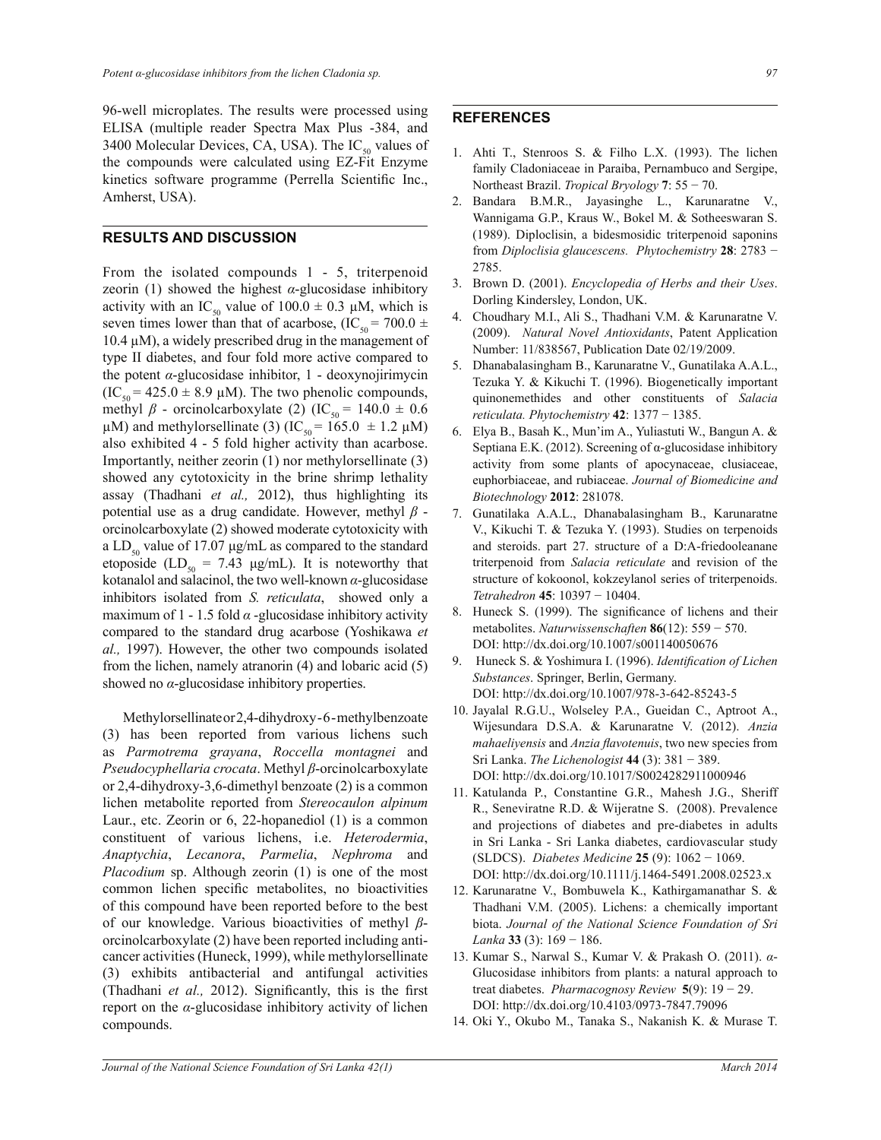96-well microplates. The results were processed using ELISA (multiple reader Spectra Max Plus -384, and 3400 Molecular Devices, CA, USA). The  $IC_{50}$  values of the compounds were calculated using EZ-Fit Enzyme kinetics software programme (Perrella Scientific Inc., Amherst, USA).

# **RESULTS AND DISCUSSION**

From the isolated compounds 1 - 5, triterpenoid zeorin (1) showed the highest  $\alpha$ -glucosidase inhibitory activity with an IC<sub>50</sub> value of  $100.0 \pm 0.3$  µM, which is seven times lower than that of acarbose, (IC<sub>50</sub> = 700.0  $\pm$  $10.4 \mu M$ ), a widely prescribed drug in the management of type II diabetes, and four fold more active compared to the potent *α*-glucosidase inhibitor, 1 - deoxynojirimycin  $(IC_{50} = 425.0 \pm 8.9 \mu M)$ . The two phenolic compounds, methyl  $\beta$  - orcinolcarboxylate (2) (IC<sub>50</sub> = 140.0  $\pm$  0.6  $\mu$ M) and methylorsellinate (3) (IC<sub>50</sub> = 165.0 ± 1.2  $\mu$ M) also exhibited 4 - 5 fold higher activity than acarbose. Importantly, neither zeorin (1) nor methylorsellinate (3) showed any cytotoxicity in the brine shrimp lethality assay (Thadhani *et al.,* 2012), thus highlighting its potential use as a drug candidate. However, methyl *β*  orcinolcarboxylate (2) showed moderate cytotoxicity with a  $LD_{50}$  value of 17.07 μg/mL as compared to the standard etoposide (LD<sub>50</sub> = 7.43  $\mu$ g/mL). It is noteworthy that kotanalol and salacinol, the two well-known *α*-glucosidase inhibitors isolated from *S. reticulata*, showed only a maximum of 1 - 1.5 fold  $\alpha$  -glucosidase inhibitory activity compared to the standard drug acarbose (Yoshikawa *et al.,* 1997). However, the other two compounds isolated from the lichen, namely atranorin (4) and lobaric acid (5) showed no *α*-glucosidase inhibitory properties.

Methylorsellinate or 2,4-dihydroxy-6-methylbenzoate (3) has been reported from various lichens such as *Parmotrema grayana*, *Roccella montagnei* and *Pseudocyphellaria crocata*. Methyl *β*-orcinolcarboxylate or 2,4-dihydroxy-3,6-dimethyl benzoate (2) is a common lichen metabolite reported from *Stereocaulon alpinum*  Laur., etc. Zeorin or 6, 22-hopanediol (1) is a common constituent of various lichens, i.e. *Heterodermia*, *Anaptychia*, *Lecanora*, *Parmelia*, *Nephroma* and *Placodium* sp. Although zeorin (1) is one of the most common lichen specific metabolites, no bioactivities of this compound have been reported before to the best of our knowledge. Various bioactivities of methyl *β*orcinolcarboxylate (2) have been reported including anticancer activities (Huneck, 1999), while methylorsellinate (3) exhibits antibacterial and antifungal activities (Thadhani *et al.,* 2012). Significantly, this is the first report on the *α*-glucosidase inhibitory activity of lichen compounds.

## **REFERENCES**

- 1. Ahti T., Stenroos S. & Filho L.X. (1993). The lichen family Cladoniaceae in Paraiba, Pernambuco and Sergipe, Northeast Brazil. *Tropical Bryology* **7**: 55 − 70.
- 2. Bandara B.M.R., Jayasinghe L., Karunaratne V., Wannigama G.P., Kraus W., Bokel M. & Sotheeswaran S. (1989). Diploclisin, a bidesmosidic triterpenoid saponins from *Diploclisia glaucescens. Phytochemistry* **28**: 2783 − 2785.
- 3. Brown D. (2001). *Encyclopedia of Herbs and their Uses*. Dorling Kindersley, London, UK.
- 4. Choudhary M.I., Ali S., Thadhani V.M. & Karunaratne V. (2009). *Natural Novel Antioxidants*, Patent Application Number: 11/838567, Publication Date 02/19/2009.
- 5. Dhanabalasingham B., Karunaratne V., Gunatilaka A.A.L., Tezuka Y. & Kikuchi T. (1996). Biogenetically important quinonemethides and other constituents of *Salacia reticulata. Phytochemistry* **42**: 1377 − 1385.
- 6. Elya B., Basah K., Mun'im A., Yuliastuti W., Bangun A. & Septiana E.K. (2012). Screening of  $\alpha$ -glucosidase inhibitory activity from some plants of apocynaceae, clusiaceae, euphorbiaceae, and rubiaceae. *Journal of Biomedicine and Biotechnology* **2012**: 281078.
- 7. Gunatilaka A.A.L., Dhanabalasingham B., Karunaratne V., Kikuchi T. & Tezuka Y. (1993). Studies on terpenoids and steroids. part 27. structure of a D:A-friedooleanane triterpenoid from *Salacia reticulate* and revision of the structure of kokoonol, kokzeylanol series of triterpenoids. *Tetrahedron* **45**: 10397 − 10404.
- 8. Huneck S. (1999). The significance of lichens and their metabolites. *Naturwissenschaften* **86**(12): 559 − 570. DOI: http://dx.doi.org/10.1007/s001140050676
- 9. Huneck S. & Yoshimura I. (1996). *Identification of Lichen Substances*. Springer, Berlin, Germany. DOI: http://dx.doi.org/10.1007/978-3-642-85243-5
- 10. Jayalal R.G.U., Wolseley P.A., Gueidan C., Aptroot A., Wijesundara D.S.A. & Karunaratne V. (2012). *Anzia mahaeliyensis* and *Anzia flavotenuis*, two new species from Sri Lanka. *The Lichenologist* **44** (3): 381 − 389. DOI: http://dx.doi.org/10.1017/S0024282911000946
- 11. Katulanda P., Constantine G.R., Mahesh J.G., Sheriff R., Seneviratne R.D. & Wijeratne S. (2008). Prevalence and projections of diabetes and pre-diabetes in adults in Sri Lanka - Sri Lanka diabetes, cardiovascular study (SLDCS). *Diabetes Medicine* **25** (9): 1062 − 1069. DOI: http://dx.doi.org/10.1111/j.1464-5491.2008.02523.x
- 12. Karunaratne V., Bombuwela K., Kathirgamanathar S. & Thadhani V.M. (2005). Lichens: a chemically important biota. *Journal of the National Science Foundation of Sri Lanka* **33** (3): 169 − 186.
- 13. Kumar S., Narwal S., Kumar V. & Prakash O. (2011). *α*-Glucosidase inhibitors from plants: a natural approach to treat diabetes. *Pharmacognosy Review* **5**(9): 19 − 29. DOI: http://dx.doi.org/10.4103/0973-7847.79096
- 14. Oki Y., Okubo M., Tanaka S., Nakanish K. & Murase T.